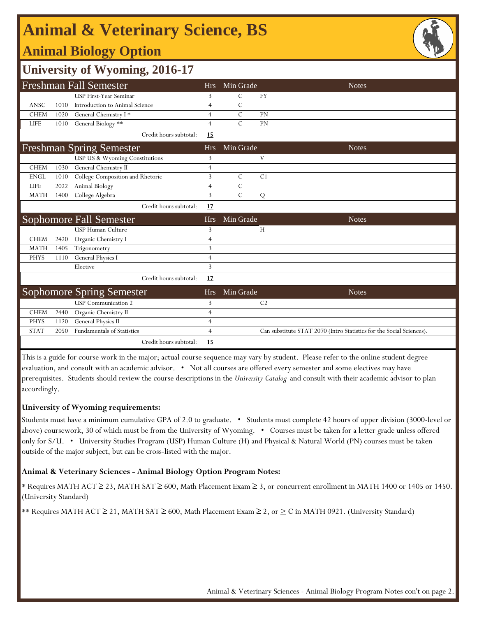# **Animal & Veterinary Science, BS**

### **Animal Biology Option**



### **University of Wyoming, 2016-17**

|             |      | <b>Freshman Fall Semester</b>                                  | <b>Hrs</b>     | Min Grade      | <b>Notes</b>                                                         |  |
|-------------|------|----------------------------------------------------------------|----------------|----------------|----------------------------------------------------------------------|--|
|             |      | USP First-Year Seminar                                         | 3              | C              | <b>FY</b>                                                            |  |
| ANSC        | 1010 | Introduction to Animal Science                                 | $\overline{4}$ | C              |                                                                      |  |
| <b>CHEM</b> | 1020 | General Chemistry I*                                           | $\overline{4}$ | $\mathcal{C}$  | PN                                                                   |  |
| <b>LIFE</b> | 1010 | General Biology **                                             | $\overline{4}$ | $\mathcal{C}$  | PN                                                                   |  |
|             |      | Credit hours subtotal:                                         | 15             |                |                                                                      |  |
|             |      | <b>Freshman Spring Semester</b>                                | <b>Hrs</b>     | Min Grade      | <b>Notes</b>                                                         |  |
|             |      | USP US & Wyoming Constitutions                                 | 3              |                | V                                                                    |  |
| <b>CHEM</b> | 1030 | General Chemistry II                                           | $\overline{4}$ |                |                                                                      |  |
| <b>ENGL</b> | 1010 | College Composition and Rhetoric                               | 3              | $\mathcal{C}$  | C1                                                                   |  |
| LIFE        | 2022 | Animal Biology                                                 | $\overline{4}$ | C              |                                                                      |  |
| <b>MATH</b> | 1400 | College Algebra                                                | 3              | $\overline{C}$ | Q                                                                    |  |
|             |      | Credit hours subtotal:                                         | <u>17</u>      |                |                                                                      |  |
|             |      |                                                                |                |                |                                                                      |  |
|             |      | Sophomore Fall Semester                                        | <b>Hrs</b>     | Min Grade      | <b>Notes</b>                                                         |  |
|             |      | <b>USP Human Culture</b>                                       | 3              |                | H                                                                    |  |
| <b>CHEM</b> | 2420 | Organic Chemistry I                                            | $\overline{4}$ |                |                                                                      |  |
| <b>MATH</b> | 1405 | Trigonometry                                                   | 3              |                |                                                                      |  |
| <b>PHYS</b> | 1110 | General Physics I                                              | $\overline{4}$ |                |                                                                      |  |
|             |      | Elective                                                       | 3              |                |                                                                      |  |
|             |      | Credit hours subtotal:                                         | 17             |                |                                                                      |  |
|             |      |                                                                | <b>Hrs</b>     | Min Grade      | <b>Notes</b>                                                         |  |
|             |      | <b>Sophomore Spring Semester</b><br><b>USP</b> Communication 2 | 3              |                | C <sub>2</sub>                                                       |  |
| <b>CHEM</b> | 2440 | Organic Chemistry II                                           | $\overline{4}$ |                |                                                                      |  |
| PHYS        | 1120 | <b>General Physics II</b>                                      | $\overline{4}$ |                |                                                                      |  |
| <b>STAT</b> | 2050 | <b>Fundamentals of Statistics</b>                              | $\overline{4}$ |                | Can substitute STAT 2070 (Intro Statistics for the Social Sciences). |  |

This is a guide for course work in the major; actual course sequence may vary by student. Please refer to the online student degree evaluation, and consult with an academic advisor. • Not all courses are offered every semester and some electives may have prerequisites. Students should review the course descriptions in the *University Catalog* and consult with their academic advisor to plan accordingly.

#### **University of Wyoming requirements:**

Students must have a minimum cumulative GPA of 2.0 to graduate. • Students must complete 42 hours of upper division (3000-level or above) coursework, 30 of which must be from the University of Wyoming. • Courses must be taken for a letter grade unless offered only for S/U. • University Studies Program (USP) Human Culture (H) and Physical & Natural World (PN) courses must be taken outside of the major subject, but can be cross-listed with the major.

#### **Animal & Veterinary Sciences - Animal Biology Option Program Notes:**

\* Requires MATH ACT ≥ 23, MATH SAT ≥ 600, Math Placement Exam ≥ 3, or concurrent enrollment in MATH 1400 or 1405 or 1450. (University Standard)

\*\* Requires MATH ACT  $\geq 21$ , MATH SAT  $\geq 600$ , Math Placement Exam  $\geq 2$ , or  $\geq C$  in MATH 0921. (University Standard)